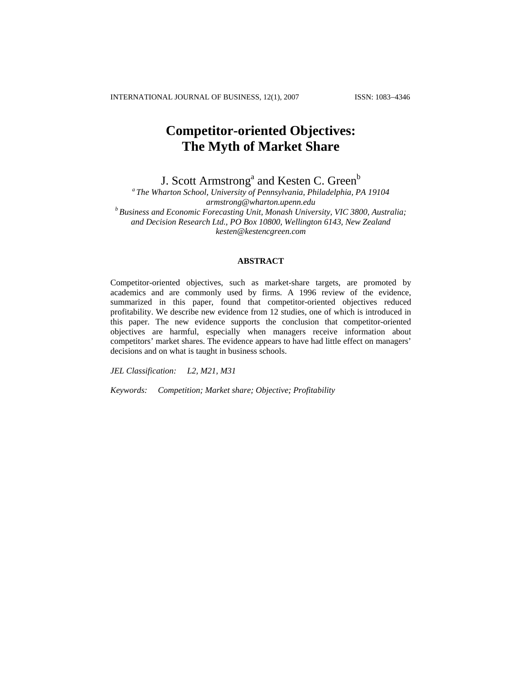INTERNATIONAL JOURNAL OF BUSINESS, 12(1), 2007 ISSN: 1083−4346

# **Competitor-oriented Objectives: The Myth of Market Share**

J. Scott Armstrong<sup>a</sup> and Kesten C. Green<sup>b</sup>

*a The Wharton School, University of Pennsylvania, Philadelphia, PA 19104 [armstrong@wharton.upenn.edu](mailto:armstrongs@wharton.upenn.edu) b Business and Economic Forecasting Unit, Monash University, VIC 3800, Australia; and Decision Research Ltd., PO Box 10800, Wellington 6143, New Zealand kesten@kestencgreen.com* 

# **ABSTRACT**

Competitor-oriented objectives, such as market-share targets, are promoted by academics and are commonly used by firms. A 1996 review of the evidence, summarized in this paper, found that competitor-oriented objectives reduced profitability. We describe new evidence from 12 studies, one of which is introduced in this paper. The new evidence supports the conclusion that competitor-oriented objectives are harmful, especially when managers receive information about competitors' market shares. The evidence appears to have had little effect on managers' decisions and on what is taught in business schools.

*JEL Classification: L2, M21, M31* 

*Keywords: Competition; Market share; Objective; Profitability*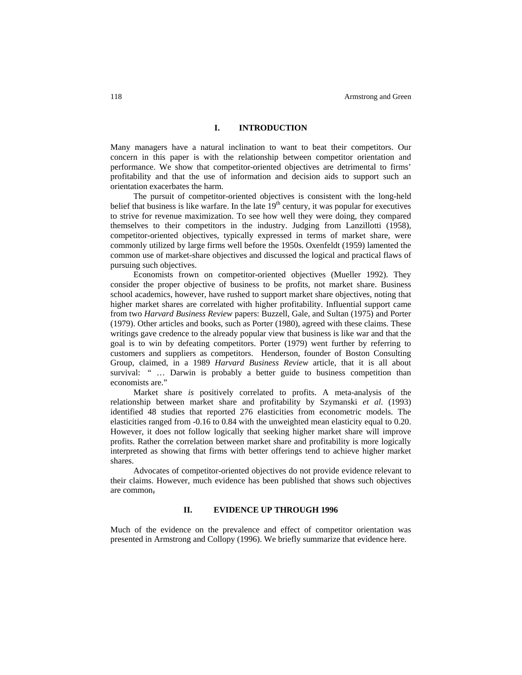# **I. INTRODUCTION**

Many managers have a natural inclination to want to beat their competitors. Our concern in this paper is with the relationship between competitor orientation and performance. We show that competitor-oriented objectives are detrimental to firms' profitability and that the use of information and decision aids to support such an orientation exacerbates the harm.

The pursuit of competitor-oriented objectives is consistent with the long-held belief that business is like warfare. In the late  $19<sup>th</sup>$  century, it was popular for executives to strive for revenue maximization. To see how well they were doing, they compared themselves to their competitors in the industry. Judging from Lanzillotti (1958), competitor-oriented objectives, typically expressed in terms of market share, were commonly utilized by large firms well before the 1950s. Oxenfeldt (1959) lamented the common use of market-share objectives and discussed the logical and practical flaws of pursuing such objectives.

Economists frown on competitor-oriented objectives (Mueller 1992). They consider the proper objective of business to be profits, not market share. Business school academics, however, have rushed to support market share objectives, noting that higher market shares are correlated with higher profitability. Influential support came from two *Harvard Business Review* papers: Buzzell, Gale, and Sultan (1975) and Porter (1979). Other articles and books, such as Porter (1980), agreed with these claims. These writings gave credence to the already popular view that business is like war and that the goal is to win by defeating competitors. Porter (1979) went further by referring to customers and suppliers as competitors. Henderson, founder of Boston Consulting Group, claimed, in a 1989 *Harvard Business Review* article, that it is all about survival: " … Darwin is probably a better guide to business competition than economists are.'

Market share *is* positively correlated to profits. A meta-analysis of the relationship between market share and profitability by Szymanski *et al*. (1993) identified 48 studies that reported 276 elasticities from econometric models. The elasticities ranged from -0.16 to 0.84 with the unweighted mean elasticity equal to 0.20. However, it does not follow logically that seeking higher market share will improve profits. Rather the correlation between market share and profitability is more logically interpreted as showing that firms with better offerings tend to achieve higher market shares.

Advocates of competitor-oriented objectives do not provide evidence relevant to their claims. However, much evidence has been published that shows such objectives are common,

#### **II. EVIDENCE UP THROUGH 1996**

Much of the evidence on the prevalence and effect of competitor orientation was presented in Armstrong and Collopy (1996). We briefly summarize that evidence here.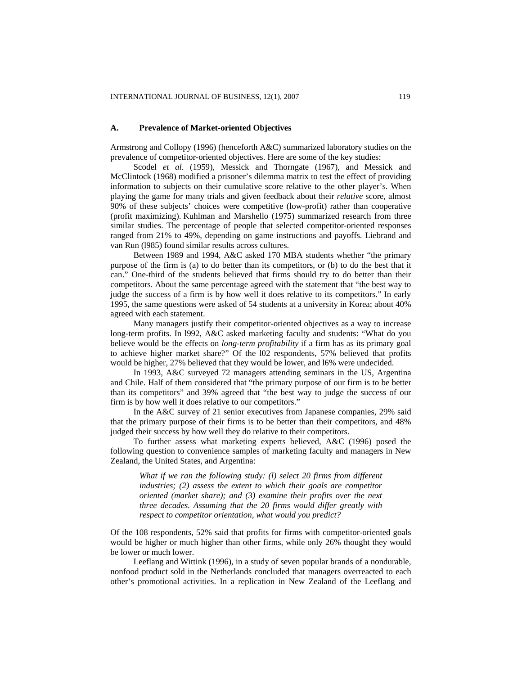#### **A. Prevalence of Market-oriented Objectives**

Armstrong and Collopy (1996) (henceforth A&C) summarized laboratory studies on the prevalence of competitor-oriented objectives. Here are some of the key studies:

Scodel *et al*. (1959), Messick and Thorngate (1967), and Messick and McClintock (1968) modified a prisoner's dilemma matrix to test the effect of providing information to subjects on their cumulative score relative to the other player's. When playing the game for many trials and given feedback about their *relative* score, almost 90% of these subjects' choices were competitive (low-profit) rather than cooperative (profit maximizing). Kuhlman and Marshello (1975) summarized research from three similar studies. The percentage of people that selected competitor-oriented responses ranged from 21% to 49%, depending on game instructions and payoffs. Liebrand and van Run (l985) found similar results across cultures.

Between 1989 and 1994, A&C asked 170 MBA students whether "the primary purpose of the firm is (a) to do better than its competitors, or (b) to do the best that it can." One-third of the students believed that firms should try to do better than their competitors. About the same percentage agreed with the statement that "the best way to judge the success of a firm is by how well it does relative to its competitors." In early 1995, the same questions were asked of 54 students at a university in Korea; about 40% agreed with each statement.

Many managers justify their competitor-oriented objectives as a way to increase long-term profits. In l992, A&C asked marketing faculty and students: "What do you believe would be the effects on *long-term profitability* if a firm has as its primary goal to achieve higher market share?" Of the l02 respondents, 57% believed that profits would be higher, 27% believed that they would be lower, and l6% were undecided.

In 1993, A&C surveyed 72 managers attending seminars in the US, Argentina and Chile. Half of them considered that "the primary purpose of our firm is to be better than its competitors" and 39% agreed that "the best way to judge the success of our firm is by how well it does relative to our competitors."

In the A&C survey of 21 senior executives from Japanese companies, 29% said that the primary purpose of their firms is to be better than their competitors, and 48% judged their success by how well they do relative to their competitors.

To further assess what marketing experts believed, A&C (1996) posed the following question to convenience samples of marketing faculty and managers in New Zealand, the United States, and Argentina:

*What if we ran the following study: (l) select 20 firms from different industries; (2) assess the extent to which their goals are competitor oriented (market share); and (3) examine their profits over the next three decades. Assuming that the 20 firms would differ greatly with respect to competitor orientation, what would you predict?* 

Of the 108 respondents, 52% said that profits for firms with competitor-oriented goals would be higher or much higher than other firms, while only 26% thought they would be lower or much lower.

Leeflang and Wittink (1996), in a study of seven popular brands of a nondurable, nonfood product sold in the Netherlands concluded that managers overreacted to each other's promotional activities. In a replication in New Zealand of the Leeflang and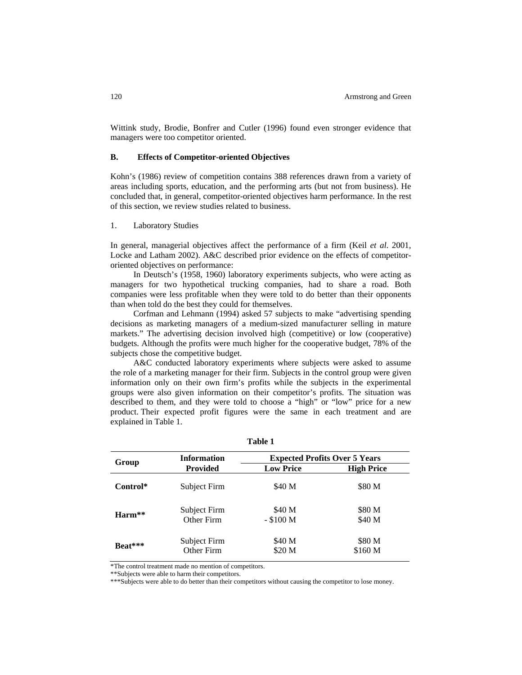Wittink study, Brodie, Bonfrer and Cutler (1996) found even stronger evidence that managers were too competitor oriented.

# **B. Effects of Competitor-oriented Objectives**

Kohn's (1986) review of competition contains 388 references drawn from a variety of areas including sports, education, and the performing arts (but not from business). He concluded that, in general, competitor-oriented objectives harm performance. In the rest of this section, we review studies related to business.

# 1. Laboratory Studies

In general, managerial objectives affect the performance of a firm (Keil *et al*. 2001, Locke and Latham 2002). A&C described prior evidence on the effects of competitororiented objectives on performance:

In Deutsch's (1958, 1960) laboratory experiments subjects, who were acting as managers for two hypothetical trucking companies, had to share a road. Both companies were less profitable when they were told to do better than their opponents than when told do the best they could for themselves.

Corfman and Lehmann (1994) asked 57 subjects to make "advertising spending decisions as marketing managers of a medium-sized manufacturer selling in mature markets." The advertising decision involved high (competitive) or low (cooperative) budgets. Although the profits were much higher for the cooperative budget, 78% of the subjects chose the competitive budget.

A&C conducted laboratory experiments where subjects were asked to assume the role of a marketing manager for their firm. Subjects in the control group were given information only on their own firm's profits while the subjects in the experimental groups were also given information on their competitor's profits. The situation was described to them, and they were told to choose a "high" or "low" price for a new product. Their expected profit figures were the same in each treatment and are explained in Table 1.

| Group    | <b>Information</b>         | <b>Expected Profits Over 5 Years</b> |                   |  |  |
|----------|----------------------------|--------------------------------------|-------------------|--|--|
|          | <b>Provided</b>            | <b>Low Price</b>                     | <b>High Price</b> |  |  |
| Control* | Subject Firm               | \$40 M                               | \$80 M            |  |  |
| $Harm**$ | Subject Firm<br>Other Firm | \$40 M<br>$-$ \$100 M                | \$80 M<br>\$40 M  |  |  |
| Beat***  | Subject Firm<br>Other Firm | \$40 M<br>\$20 M                     | \$80 M<br>\$160 M |  |  |

**Table 1**

\*The control treatment made no mention of competitors.

\*\*\*Subjects were able to do better than their competitors without causing the competitor to lose money.

<sup>\*\*</sup>Subjects were able to harm their competitors.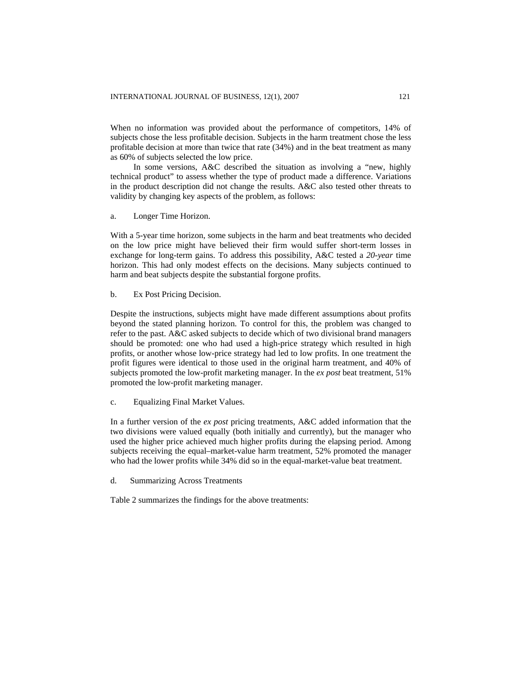When no information was provided about the performance of competitors, 14% of subjects chose the less profitable decision. Subjects in the harm treatment chose the less profitable decision at more than twice that rate (34%) and in the beat treatment as many as 60% of subjects selected the low price.

In some versions, A&C described the situation as involving a "new, highly technical product" to assess whether the type of product made a difference. Variations in the product description did not change the results. A&C also tested other threats to validity by changing key aspects of the problem, as follows:

a. Longer Time Horizon.

With a 5-year time horizon, some subjects in the harm and beat treatments who decided on the low price might have believed their firm would suffer short-term losses in exchange for long-term gains. To address this possibility, A&C tested a *20-year* time horizon. This had only modest effects on the decisions. Many subjects continued to harm and beat subjects despite the substantial forgone profits.

b. Ex Post Pricing Decision.

Despite the instructions, subjects might have made different assumptions about profits beyond the stated planning horizon. To control for this, the problem was changed to refer to the past. A&C asked subjects to decide which of two divisional brand managers should be promoted: one who had used a high-price strategy which resulted in high profits, or another whose low-price strategy had led to low profits. In one treatment the profit figures were identical to those used in the original harm treatment, and 40% of subjects promoted the low-profit marketing manager. In the *ex post* beat treatment, 51% promoted the low-profit marketing manager.

c. Equalizing Final Market Values.

In a further version of the *ex post* pricing treatments, A&C added information that the two divisions were valued equally (both initially and currently), but the manager who used the higher price achieved much higher profits during the elapsing period. Among subjects receiving the equal–market-value harm treatment, 52% promoted the manager who had the lower profits while 34% did so in the equal-market-value beat treatment.

d. Summarizing Across Treatments

Table 2 summarizes the findings for the above treatments: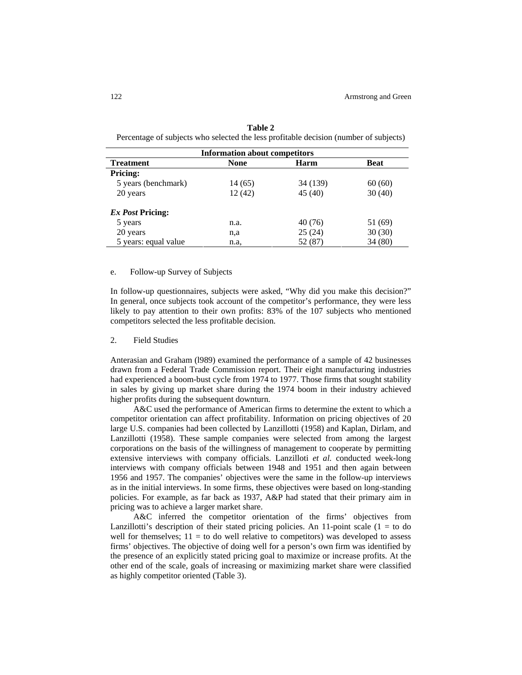| <b>Information about competitors</b>            |         |          |         |  |  |  |
|-------------------------------------------------|---------|----------|---------|--|--|--|
| <b>Treatment</b><br><b>None</b><br>Harm<br>Beat |         |          |         |  |  |  |
| <b>Pricing:</b>                                 |         |          |         |  |  |  |
| 5 years (benchmark)                             | 14 (65) | 34 (139) | 60(60)  |  |  |  |
| 20 years                                        | 12(42)  | 45(40)   | 30(40)  |  |  |  |
| <i>Ex Post Pricing:</i>                         |         |          |         |  |  |  |
| 5 years                                         | n.a.    | 40(76)   | 51 (69) |  |  |  |
| 20 years                                        | n,a     | 25(24)   | 30(30)  |  |  |  |
| 5 years: equal value                            | n.a,    | 52 (87)  | 34(80)  |  |  |  |

| Table 2                                                                               |
|---------------------------------------------------------------------------------------|
| Percentage of subjects who selected the less profitable decision (number of subjects) |

### e. Follow-up Survey of Subjects

In follow-up questionnaires, subjects were asked, "Why did you make this decision?" In general, once subjects took account of the competitor's performance, they were less likely to pay attention to their own profits: 83% of the 107 subjects who mentioned competitors selected the less profitable decision.

### 2. Field Studies

Anterasian and Graham (l989) examined the performance of a sample of 42 businesses drawn from a Federal Trade Commission report. Their eight manufacturing industries had experienced a boom-bust cycle from 1974 to 1977. Those firms that sought stability in sales by giving up market share during the 1974 boom in their industry achieved higher profits during the subsequent downturn.

A&C used the performance of American firms to determine the extent to which a competitor orientation can affect profitability. Information on pricing objectives of 20 large U.S. companies had been collected by Lanzillotti (1958) and Kaplan, Dirlam, and Lanzillotti (1958). These sample companies were selected from among the largest corporations on the basis of the willingness of management to cooperate by permitting extensive interviews with company officials. Lanzilloti *et al.* conducted week-long interviews with company officials between 1948 and 1951 and then again between 1956 and 1957. The companies' objectives were the same in the follow-up interviews as in the initial interviews. In some firms, these objectives were based on long-standing policies. For example, as far back as 1937, A&P had stated that their primary aim in pricing was to achieve a larger market share.

A&C inferred the competitor orientation of the firms' objectives from Lanzillotti's description of their stated pricing policies. An 11-point scale  $(1 = to do$ well for themselves;  $11 =$  to do well relative to competitors) was developed to assess firms' objectives. The objective of doing well for a person's own firm was identified by the presence of an explicitly stated pricing goal to maximize or increase profits. At the other end of the scale, goals of increasing or maximizing market share were classified as highly competitor oriented (Table 3).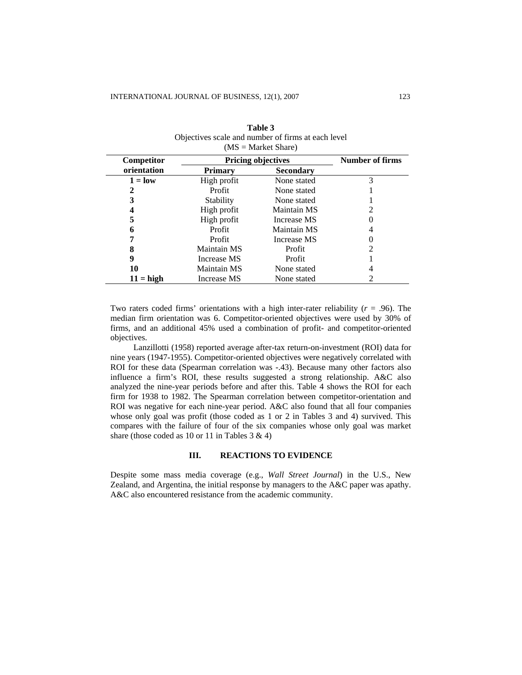| Competitor   | <b>Pricing objectives</b> | <b>Number of firms</b> |   |
|--------------|---------------------------|------------------------|---|
| orientation  | <b>Primary</b>            | <b>Secondary</b>       |   |
| $1 = low$    | High profit               | None stated            | 3 |
| 2            | Profit                    | None stated            |   |
| 3            | Stability                 | None stated            |   |
|              | High profit               | Maintain MS            |   |
| 5            | High profit               | Increase MS            |   |
| 6            | Profit                    | Maintain MS            |   |
| 7            | Profit                    | Increase MS            |   |
| 8            | Maintain MS               | Profit                 | 2 |
| 9            | Increase MS               | Profit                 |   |
| 10           | Maintain MS               | None stated            |   |
| $11 = h$ igh | Increase MS               | None stated            |   |

| Table 3                                            |
|----------------------------------------------------|
| Objectives scale and number of firms at each level |
| $(MS = MarketShare)$                               |

Two raters coded firms' orientations with a high inter-rater reliability  $(r = .96)$ . The median firm orientation was 6. Competitor-oriented objectives were used by 30% of firms, and an additional 45% used a combination of profit- and competitor-oriented objectives.

Lanzillotti (1958) reported average after-tax return-on-investment (ROI) data for nine years (1947-1955). Competitor-oriented objectives were negatively correlated with ROI for these data (Spearman correlation was -.43). Because many other factors also influence a firm's ROI, these results suggested a strong relationship. A&C also analyzed the nine-year periods before and after this. Table 4 shows the ROI for each firm for 1938 to 1982. The Spearman correlation between competitor-orientation and ROI was negative for each nine-year period. A&C also found that all four companies whose only goal was profit (those coded as 1 or 2 in Tables 3 and 4) survived. This compares with the failure of four of the six companies whose only goal was market share (those coded as 10 or 11 in Tables 3 & 4)

# **III. REACTIONS TO EVIDENCE**

Despite some mass media coverage (e.g., *Wall Street Journal*) in the U.S., New Zealand, and Argentina, the initial response by managers to the A&C paper was apathy. A&C also encountered resistance from the academic community.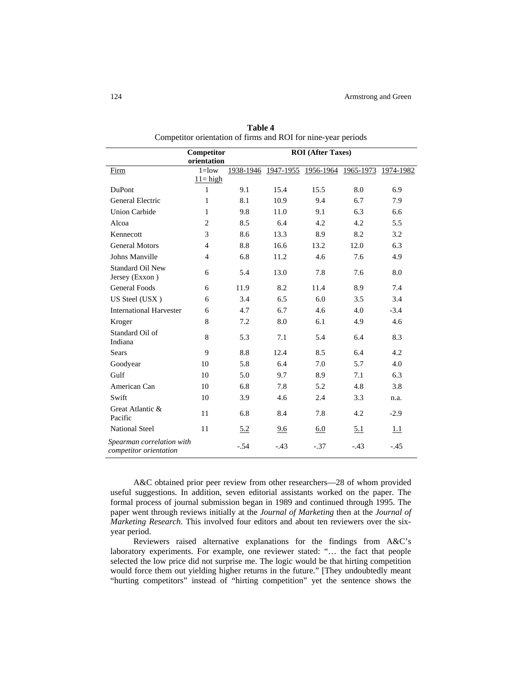|                                                     | Competitor<br><b>ROI</b> (After Taxes) |           |        |                               |        |           |
|-----------------------------------------------------|----------------------------------------|-----------|--------|-------------------------------|--------|-----------|
|                                                     | orientation                            |           |        |                               |        |           |
| Firm                                                | $1 =$ low                              | 1938-1946 |        | 1947-1955 1956-1964 1965-1973 |        | 1974-1982 |
|                                                     | $11 = high$                            |           |        |                               |        |           |
| <b>DuPont</b>                                       | $\mathbf{1}$                           | 9.1       | 15.4   | 15.5                          | 8.0    | 6.9       |
| General Electric                                    | $\mathbf{1}$                           | 8.1       | 10.9   | 9.4                           | 6.7    | 7.9       |
| <b>Union Carbide</b>                                | $\mathbf{1}$                           | 9.8       | 11.0   | 9.1                           | 6.3    | 6.6       |
| Alcoa                                               | $\overline{c}$                         | 8.5       | 6.4    | 4.2                           | 4.2    | 5.5       |
| Kennecott                                           | 3                                      | 8.6       | 13.3   | 8.9                           | 8.2    | 3.2       |
| <b>General Motors</b>                               | $\overline{4}$                         | 8.8       | 16.6   | 13.2                          | 12.0   | 6.3       |
| Johns Manville                                      | $\overline{4}$                         | 6.8       | 11.2   | 4.6                           | 7.6    | 4.9       |
| <b>Standard Oil New</b><br>Jersey (Exxon)           | 6                                      | 5.4       | 13.0   | 7.8                           | 7.6    | 8.0       |
| <b>General Foods</b>                                | 6                                      | 11.9      | 8.2    | 11.4                          | 8.9    | 7.4       |
| US Steel (USX)                                      | 6                                      | 3.4       | 6.5    | 6.0                           | 3.5    | 3.4       |
| <b>International Harvester</b>                      | 6                                      | 4.7       | 6.7    | 4.6                           | 4.0    | $-3.4$    |
| Kroger                                              | 8                                      | 7.2       | 8.0    | 6.1                           | 4.9    | 4.6       |
| Standard Oil of<br>Indiana                          | 8                                      | 5.3       | 7.1    | 5.4                           | 6.4    | 8.3       |
| <b>Sears</b>                                        | 9                                      | 8.8       | 12.4   | 8.5                           | 6.4    | 4.2       |
| Goodyear                                            | 10                                     | 5.8       | 6.4    | 7.0                           | 5.7    | 4.0       |
| Gulf                                                | 10                                     | 5.0       | 9.7    | 8.9                           | 7.1    | 6.3       |
| American Can                                        | 10                                     | 6.8       | 7.8    | 5.2                           | 4.8    | 3.8       |
| Swift                                               | 10                                     | 3.9       | 4.6    | 2.4                           | 3.3    | n.a.      |
| Great Atlantic &<br>Pacific                         | 11                                     | 6.8       | 8.4    | 7.8                           | 4.2    | $-2.9$    |
| <b>National Steel</b>                               | 11                                     | 5.2       | 9.6    | 6.0                           | 5.1    | 1.1       |
| Spearman correlation with<br>competitor orientation |                                        | $-.54$    | $-.43$ | $-.37$                        | $-.43$ | $-.45$    |

**Table 4** Competitor orientation of firms and ROI for nine-year periods

A&C obtained prior peer review from other researchers—28 of whom provided useful suggestions. In addition, seven editorial assistants worked on the paper. The formal process of journal submission began in 1989 and continued through 1995. The paper went through reviews initially at the *Journal of Marketing* then at the *Journal of Marketing Research*. This involved four editors and about ten reviewers over the sixyear period.

Reviewers raised alternative explanations for the findings from A&C's laboratory experiments. For example, one reviewer stated: "… the fact that people selected the low price did not surprise me. The logic would be that hirting competition would force them out yielding higher returns in the future." [They undoubtedly meant "hurting competitors" instead of "hirting competition" yet the sentence shows the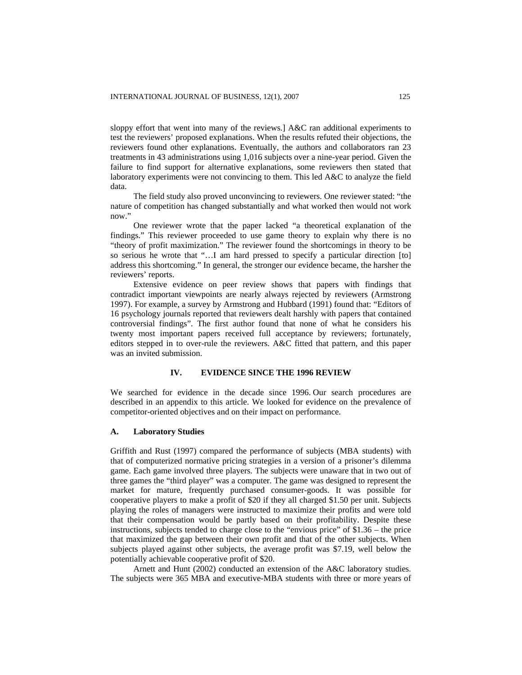sloppy effort that went into many of the reviews.] A&C ran additional experiments to test the reviewers' proposed explanations. When the results refuted their objections, the reviewers found other explanations. Eventually, the authors and collaborators ran 23 treatments in 43 administrations using 1,016 subjects over a nine-year period. Given the failure to find support for alternative explanations, some reviewers then stated that laboratory experiments were not convincing to them. This led A&C to analyze the field data.

The field study also proved unconvincing to reviewers. One reviewer stated: "the nature of competition has changed substantially and what worked then would not work now."

One reviewer wrote that the paper lacked "a theoretical explanation of the findings." This reviewer proceeded to use game theory to explain why there is no "theory of profit maximization." The reviewer found the shortcomings in theory to be so serious he wrote that "…I am hard pressed to specify a particular direction [to] address this shortcoming." In general, the stronger our evidence became, the harsher the reviewers' reports.

Extensive evidence on peer review shows that papers with findings that contradict important viewpoints are nearly always rejected by reviewers (Armstrong 1997). For example, a survey by Armstrong and Hubbard (1991) found that: "Editors of 16 psychology journals reported that reviewers dealt harshly with papers that contained controversial findings". The first author found that none of what he considers his twenty most important papers received full acceptance by reviewers; fortunately, editors stepped in to over-rule the reviewers. A&C fitted that pattern, and this paper was an invited submission.

# **IV. EVIDENCE SINCE THE 1996 REVIEW**

We searched for evidence in the decade since 1996. Our search procedures are described in an appendix to this article. We looked for evidence on the prevalence of competitor-oriented objectives and on their impact on performance.

#### **A. Laboratory Studies**

Griffith and Rust (1997) compared the performance of subjects (MBA students) with that of computerized normative pricing strategies in a version of a prisoner's dilemma game. Each game involved three players. The subjects were unaware that in two out of three games the "third player" was a computer. The game was designed to represent the market for mature, frequently purchased consumer-goods. It was possible for cooperative players to make a profit of \$20 if they all charged \$1.50 per unit. Subjects playing the roles of managers were instructed to maximize their profits and were told that their compensation would be partly based on their profitability. Despite these instructions, subjects tended to charge close to the "envious price" of \$1.36 – the price that maximized the gap between their own profit and that of the other subjects. When subjects played against other subjects, the average profit was \$7.19, well below the potentially achievable cooperative profit of \$20.

Arnett and Hunt (2002) conducted an extension of the A&C laboratory studies. The subjects were 365 MBA and executive-MBA students with three or more years of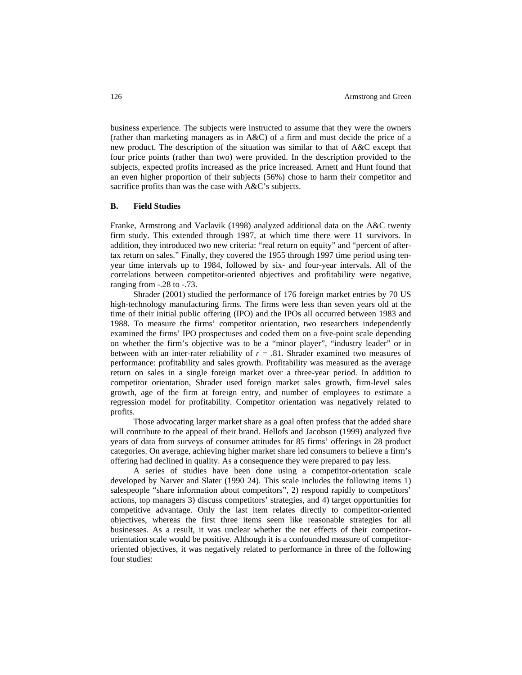business experience. The subjects were instructed to assume that they were the owners (rather than marketing managers as in A&C) of a firm and must decide the price of a new product. The description of the situation was similar to that of A&C except that four price points (rather than two) were provided. In the description provided to the subjects, expected profits increased as the price increased. Arnett and Hunt found that an even higher proportion of their subjects (56%) chose to harm their competitor and sacrifice profits than was the case with A&C's subjects.

# **B. Field Studies**

Franke, Armstrong and Vaclavik (1998) analyzed additional data on the A&C twenty firm study. This extended through 1997, at which time there were 11 survivors. In addition, they introduced two new criteria: "real return on equity" and "percent of aftertax return on sales." Finally, they covered the 1955 through 1997 time period using tenyear time intervals up to 1984, followed by six- and four-year intervals. All of the correlations between competitor-oriented objectives and profitability were negative, ranging from -.28 to -.73.

Shrader (2001) studied the performance of 176 foreign market entries by 70 US high-technology manufacturing firms. The firms were less than seven years old at the time of their initial public offering (IPO) and the IPOs all occurred between 1983 and 1988. To measure the firms' competitor orientation, two researchers independently examined the firms' IPO prospectuses and coded them on a five-point scale depending on whether the firm's objective was to be a "minor player", "industry leader" or in between with an inter-rater reliability of  $r = .81$ . Shrader examined two measures of performance: profitability and sales growth. Profitability was measured as the average return on sales in a single foreign market over a three-year period. In addition to competitor orientation, Shrader used foreign market sales growth, firm-level sales growth, age of the firm at foreign entry, and number of employees to estimate a regression model for profitability. Competitor orientation was negatively related to profits.

Those advocating larger market share as a goal often profess that the added share will contribute to the appeal of their brand. Hellofs and Jacobson (1999) analyzed five years of data from surveys of consumer attitudes for 85 firms' offerings in 28 product categories. On average, achieving higher market share led consumers to believe a firm's offering had declined in quality. As a consequence they were prepared to pay less.

A series of studies have been done using a competitor-orientation scale developed by Narver and Slater (1990 24). This scale includes the following items 1) salespeople "share information about competitors", 2) respond rapidly to competitors' actions, top managers 3) discuss competitors' strategies, and 4) target opportunities for competitive advantage. Only the last item relates directly to competitor-oriented objectives, whereas the first three items seem like reasonable strategies for all businesses. As a result, it was unclear whether the net effects of their competitororientation scale would be positive. Although it is a confounded measure of competitororiented objectives, it was negatively related to performance in three of the following four studies: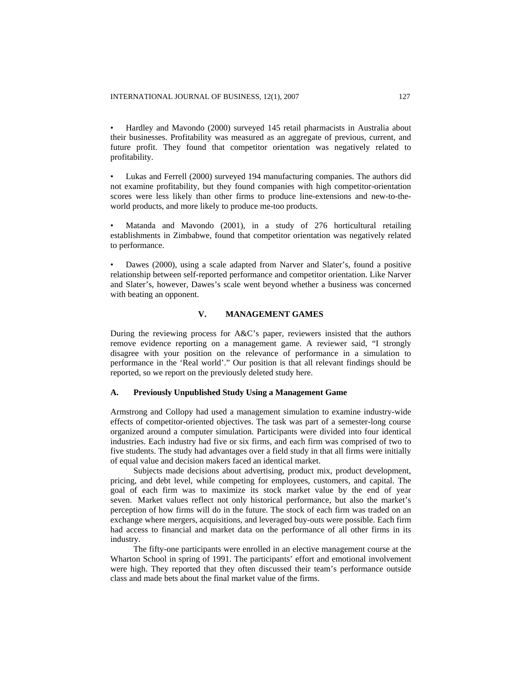• Hardley and Mavondo (2000) surveyed 145 retail pharmacists in Australia about their businesses. Profitability was measured as an aggregate of previous, current, and future profit. They found that competitor orientation was negatively related to profitability.

• Lukas and Ferrell (2000) surveyed 194 manufacturing companies. The authors did not examine profitability, but they found companies with high competitor-orientation scores were less likely than other firms to produce line-extensions and new-to-theworld products, and more likely to produce me-too products.

• Matanda and Mavondo (2001), in a study of 276 horticultural retailing establishments in Zimbabwe, found that competitor orientation was negatively related to performance.

• Dawes (2000), using a scale adapted from Narver and Slater's, found a positive relationship between self-reported performance and competitor orientation. Like Narver and Slater's, however, Dawes's scale went beyond whether a business was concerned with beating an opponent.

# **V. MANAGEMENT GAMES**

During the reviewing process for A&C's paper, reviewers insisted that the authors remove evidence reporting on a management game. A reviewer said, "I strongly disagree with your position on the relevance of performance in a simulation to performance in the 'Real world'." Our position is that all relevant findings should be reported, so we report on the previously deleted study here.

# **A.****Previously Unpublished Study Using a Management Game**

Armstrong and Collopy had used a management simulation to examine industry-wide effects of competitor-oriented objectives. The task was part of a semester-long course organized around a computer simulation*.* Participants were divided into four identical industries. Each industry had five or six firms, and each firm was comprised of two to five students. The study had advantages over a field study in that all firms were initially of equal value and decision makers faced an identical market.

Subjects made decisions about advertising, product mix, product development, pricing, and debt level, while competing for employees, customers, and capital. The goal of each firm was to maximize its stock market value by the end of year seven. Market values reflect not only historical performance, but also the market's perception of how firms will do in the future. The stock of each firm was traded on an exchange where mergers, acquisitions, and leveraged buy-outs were possible. Each firm had access to financial and market data on the performance of all other firms in its industry.

The fifty-one participants were enrolled in an elective management course at the Wharton School in spring of 1991. The participants' effort and emotional involvement were high. They reported that they often discussed their team's performance outside class and made bets about the final market value of the firms.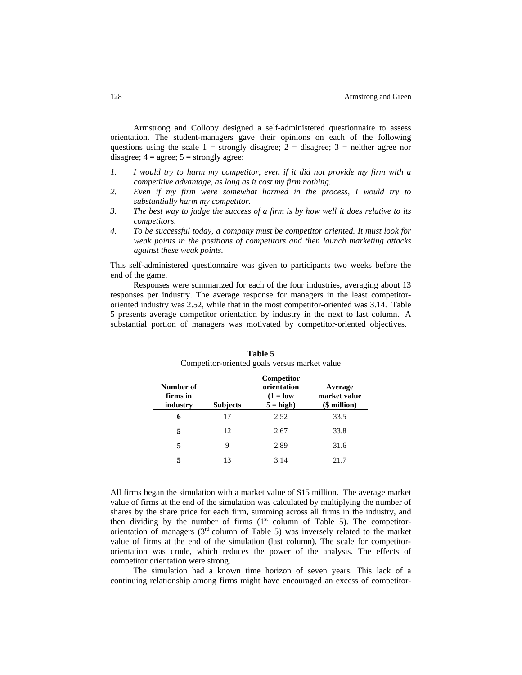Armstrong and Collopy designed a self-administered questionnaire to assess orientation. The student-managers gave their opinions on each of the following questions using the scale  $1 =$  strongly disagree;  $2 =$  disagree;  $3 =$  neither agree nor disagree;  $4 = \text{agree}$ ;  $5 = \text{strongly agree}$ :

- *1. I would try to harm my competitor, even if it did not provide my firm with a competitive advantage, as long as it cost my firm nothing.*
- *2. Even if my firm were somewhat harmed in the process, I would try to substantially harm my competitor.*
- *3. The best way to judge the success of a firm is by how well it does relative to its competitors.*
- *4. To be successful today, a company must be competitor oriented. It must look for weak points in the positions of competitors and then launch marketing attacks against these weak points.*

This self-administered questionnaire was given to participants two weeks before the end of the game.

Responses were summarized for each of the four industries, averaging about 13 responses per industry. The average response for managers in the least competitororiented industry was 2.52, while that in the most competitor-oriented was 3.14. Table 5 presents average competitor orientation by industry in the next to last column. A substantial portion of managers was motivated by competitor-oriented objectives.

| Number of<br>firms in<br>industry | <b>Subjects</b> | Competitor<br>orientation<br>$(1 = low$<br>$5 = high$ | Average<br>market value<br>$$$ million $)$ |
|-----------------------------------|-----------------|-------------------------------------------------------|--------------------------------------------|
| 6                                 | 17              | 2.52                                                  | 33.5                                       |
| 5                                 | 12              | 2.67                                                  | 33.8                                       |
|                                   | 9               | 2.89                                                  | 31.6                                       |
|                                   | 13              | 3.14                                                  | 21.7                                       |

**Table 5** Competitor-oriented goals versus market value

All firms began the simulation with a market value of \$15 million. The average market value of firms at the end of the simulation was calculated by multiplying the number of shares by the share price for each firm, summing across all firms in the industry, and then dividing by the number of firms  $(1<sup>st</sup>$  column of Table 5). The competitororientation of managers  $(3<sup>rd</sup>$  column of Table 5) was inversely related to the market value of firms at the end of the simulation (last column). The scale for competitororientation was crude, which reduces the power of the analysis. The effects of competitor orientation were strong.

The simulation had a known time horizon of seven years. This lack of a continuing relationship among firms might have encouraged an excess of competitor-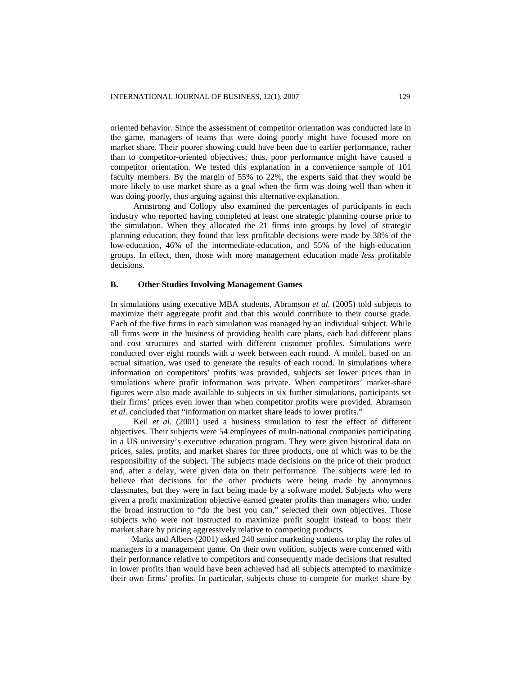oriented behavior. Since the assessment of competitor orientation was conducted late in the game, managers of teams that were doing poorly might have focused more on market share. Their poorer showing could have been due to earlier performance, rather than to competitor-oriented objectives; thus, poor performance might have caused a competitor orientation. We tested this explanation in a convenience sample of 101 faculty members. By the margin of 55% to 22%, the experts said that they would be more likely to use market share as a goal when the firm was doing well than when it was doing poorly, thus arguing against this alternative explanation.

Armstrong and Collopy also examined the percentages of participants in each industry who reported having completed at least one strategic planning course prior to the simulation. When they allocated the 21 firms into groups by level of strategic planning education, they found that less profitable decisions were made by 38% of the low-education, 46% of the intermediate-education, and 55% of the high-education groups. In effect, then, those with more management education made *less* profitable decisions.

### **B. Other Studies Involving Management Games**

In simulations using executive MBA students, Abramson *et al*. (2005) told subjects to maximize their aggregate profit and that this would contribute to their course grade. Each of the five firms in each simulation was managed by an individual subject. While all firms were in the business of providing health care plans, each had different plans and cost structures and started with different customer profiles. Simulations were conducted over eight rounds with a week between each round. A model, based on an actual situation, was used to generate the results of each round. In simulations where information on competitors' profits was provided, subjects set lower prices than in simulations where profit information was private. When competitors' market-share figures were also made available to subjects in six further simulations, participants set their firms' prices even lower than when competitor profits were provided. Abramson *et al.* concluded that "information on market share leads to lower profits."

Keil *et al*. (2001) used a business simulation to test the effect of different objectives. Their subjects were 54 employees of multi-national companies participating in a US university's executive education program. They were given historical data on prices, sales, profits, and market shares for three products, one of which was to be the responsibility of the subject. The subjects made decisions on the price of their product and, after a delay, were given data on their performance. The subjects were led to believe that decisions for the other products were being made by anonymous classmates, but they were in fact being made by a software model. Subjects who were given a profit maximization objective earned greater profits than managers who, under the broad instruction to "do the best you can," selected their own objectives. Those subjects who were not instructed to maximize profit sought instead to boost their market share by pricing aggressively relative to competing products.

Marks and Albers (2001) asked 240 senior marketing students to play the roles of managers in a management game. On their own volition, subjects were concerned with their performance relative to competitors and consequently made decisions that resulted in lower profits than would have been achieved had all subjects attempted to maximize their own firms' profits. In particular, subjects chose to compete for market share by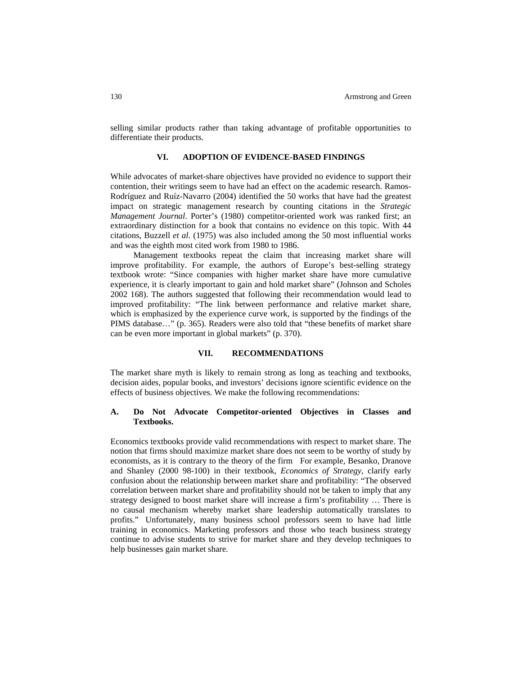selling similar products rather than taking advantage of profitable opportunities to differentiate their products.

#### **VI. ADOPTION OF EVIDENCE-BASED FINDINGS**

While advocates of market-share objectives have provided no evidence to support their contention, their writings seem to have had an effect on the academic research. Ramos-Rodríguez and Ruíz-Navarro (2004) identified the 50 works that have had the greatest impact on strategic management research by counting citations in the *Strategic Management Journal*. Porter's (1980) competitor-oriented work was ranked first; an extraordinary distinction for a book that contains no evidence on this topic. With 44 citations, Buzzell *et al*. (1975) was also included among the 50 most influential works and was the eighth most cited work from 1980 to 1986.

Management textbooks repeat the claim that increasing market share will improve profitability. For example, the authors of Europe's best-selling strategy textbook wrote: "Since companies with higher market share have more cumulative experience, it is clearly important to gain and hold market share" (Johnson and Scholes 2002 168). The authors suggested that following their recommendation would lead to improved profitability: "The link between performance and relative market share, which is emphasized by the experience curve work, is supported by the findings of the PIMS database…" (p. 365). Readers were also told that "these benefits of market share can be even more important in global markets" (p. 370).

#### **VII. RECOMMENDATIONS**

The market share myth is likely to remain strong as long as teaching and textbooks, decision aides, popular books, and investors' decisions ignore scientific evidence on the effects of business objectives. We make the following recommendations:

# **A. Do Not Advocate Competitor-oriented Objectives in Classes and Textbooks.**

Economics textbooks provide valid recommendations with respect to market share. The notion that firms should maximize market share does not seem to be worthy of study by economists, as it is contrary to the theory of the firm For example, Besanko, Dranove and Shanley (2000 98-100) in their textbook, *Economics of Strategy*, clarify early confusion about the relationship between market share and profitability: "The observed correlation between market share and profitability should not be taken to imply that any strategy designed to boost market share will increase a firm's profitability … There is no causal mechanism whereby market share leadership automatically translates to profits." Unfortunately, many business school professors seem to have had little training in economics. Marketing professors and those who teach business strategy continue to advise students to strive for market share and they develop techniques to help businesses gain market share.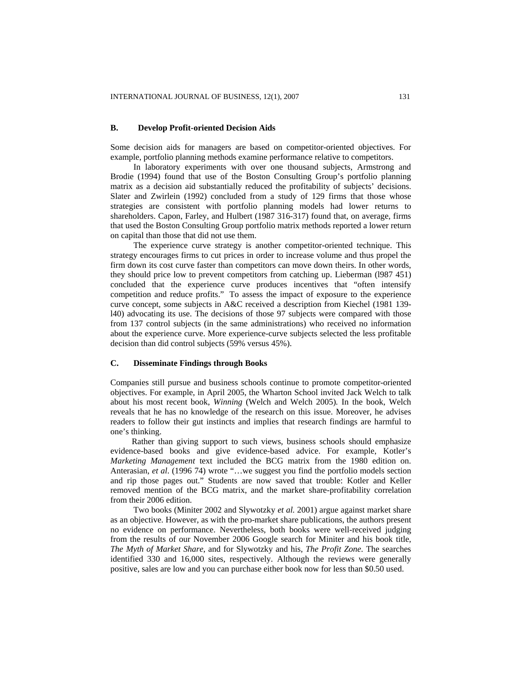### **B. Develop Profit-oriented Decision Aids**

Some decision aids for managers are based on competitor-oriented objectives. For example, portfolio planning methods examine performance relative to competitors.

In laboratory experiments with over one thousand subjects, Armstrong and Brodie (1994) found that use of the Boston Consulting Group's portfolio planning matrix as a decision aid substantially reduced the profitability of subjects' decisions. Slater and Zwirlein (1992) concluded from a study of 129 firms that those whose strategies are consistent with portfolio planning models had lower returns to shareholders. Capon, Farley, and Hulbert (1987 316-317) found that, on average, firms that used the Boston Consulting Group portfolio matrix methods reported a lower return on capital than those that did not use them.

The experience curve strategy is another competitor-oriented technique. This strategy encourages firms to cut prices in order to increase volume and thus propel the firm down its cost curve faster than competitors can move down theirs. In other words, they should price low to prevent competitors from catching up. Lieberman (l987 451) concluded that the experience curve produces incentives that "often intensify competition and reduce profits." To assess the impact of exposure to the experience curve concept, some subjects in A&C received a description from Kiechel (1981 139 l40) advocating its use. The decisions of those 97 subjects were compared with those from 137 control subjects (in the same administrations) who received no information about the experience curve. More experience-curve subjects selected the less profitable decision than did control subjects (59% versus 45%).

#### **C. Disseminate Findings through Books**

Companies still pursue and business schools continue to promote competitor-oriented objectives. For example, in April 2005, the Wharton School invited Jack Welch to talk about his most recent book, *Winning* (Welch and Welch 2005)*.* In the book, Welch reveals that he has no knowledge of the research on this issue. Moreover, he advises readers to follow their gut instincts and implies that research findings are harmful to one's thinking.

Rather than giving support to such views, business schools should emphasize evidence-based books and give evidence-based advice. For example, Kotler's *Marketing Management* text included the BCG matrix from the 1980 edition on. Anterasian, *et al*. (1996 74) wrote "…we suggest you find the portfolio models section and rip those pages out." Students are now saved that trouble: Kotler and Keller removed mention of the BCG matrix, and the market share-profitability correlation from their 2006 edition.

Two books (Miniter 2002 and Slywotzky *et al.* 2001) argue against market share as an objective. However, as with the pro-market share publications, the authors present no evidence on performance. Nevertheless, both books were well-received judging from the results of our November 2006 Google search for Miniter and his book title, *The Myth of Market Share*, and for Slywotzky and his, *The Profit Zone*. The searches identified 330 and 16,000 sites, respectively. Although the reviews were generally positive, sales are low and you can purchase either book now for less than \$0.50 used.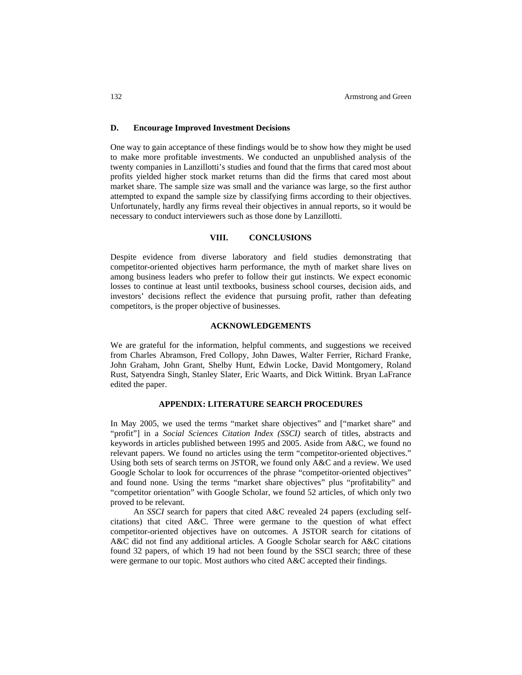# **D. Encourage Improved Investment Decisions**

One way to gain acceptance of these findings would be to show how they might be used to make more profitable investments. We conducted an unpublished analysis of the twenty companies in Lanzillotti's studies and found that the firms that cared most about profits yielded higher stock market returns than did the firms that cared most about market share. The sample size was small and the variance was large, so the first author attempted to expand the sample size by classifying firms according to their objectives. Unfortunately, hardly any firms reveal their objectives in annual reports, so it would be necessary to conduct interviewers such as those done by Lanzillotti.

# **VIII. CONCLUSIONS**

Despite evidence from diverse laboratory and field studies demonstrating that competitor-oriented objectives harm performance, the myth of market share lives on among business leaders who prefer to follow their gut instincts. We expect economic losses to continue at least until textbooks, business school courses, decision aids, and investors' decisions reflect the evidence that pursuing profit, rather than defeating competitors, is the proper objective of businesses.

# **ACKNOWLEDGEMENTS**

We are grateful for the information, helpful comments, and suggestions we received from Charles Abramson, Fred Collopy, John Dawes, Walter Ferrier, Richard Franke, John Graham, John Grant, Shelby Hunt, Edwin Locke, David Montgomery, Roland Rust, Satyendra Singh, Stanley Slater, Eric Waarts, and Dick Wittink. Bryan LaFrance edited the paper.

#### **APPENDIX: LITERATURE SEARCH PROCEDURES**

In May 2005, we used the terms "market share objectives" and ["market share" and "profit"] in a *Social Sciences Citation Index (SSCI)* search of titles, abstracts and keywords in articles published between 1995 and 2005. Aside from A&C, we found no relevant papers. We found no articles using the term "competitor-oriented objectives." Using both sets of search terms on JSTOR, we found only A&C and a review. We used Google Scholar to look for occurrences of the phrase "competitor-oriented objectives" and found none. Using the terms "market share objectives" plus "profitability" and "competitor orientation" with Google Scholar, we found 52 articles, of which only two proved to be relevant.

An *SSCI* search for papers that cited A&C revealed 24 papers (excluding selfcitations) that cited A&C. Three were germane to the question of what effect competitor-oriented objectives have on outcomes. A JSTOR search for citations of A&C did not find any additional articles. A Google Scholar search for A&C citations found 32 papers, of which 19 had not been found by the SSCI search; three of these were germane to our topic. Most authors who cited A&C accepted their findings.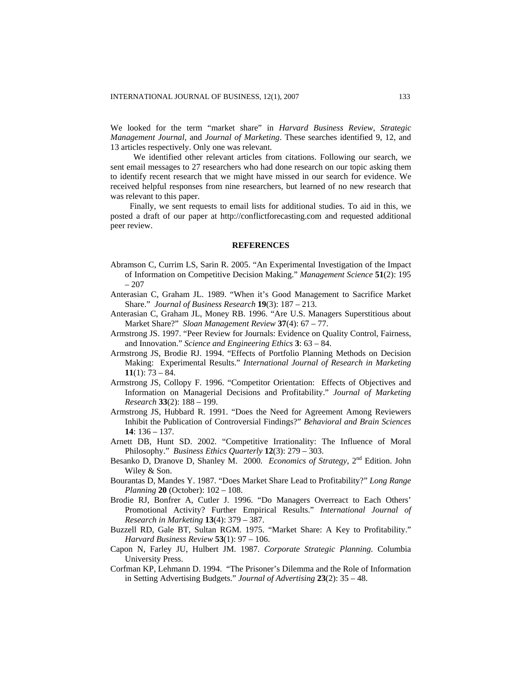We looked for the term "market share" in *Harvard Business Review*, *Strategic Management Journal*, and *Journal of Marketing*. These searches identified 9, 12, and 13 articles respectively. Only one was relevant.

We identified other relevant articles from citations. Following our search, we sent email messages to 27 researchers who had done research on our topic asking them to identify recent research that we might have missed in our search for evidence. We received helpful responses from nine researchers, but learned of no new research that was relevant to this paper.

Finally, we sent requests to email lists for additional studies. To aid in this, we posted a draft of our paper at [http://conflictforecasting.com](http://conflictforecasting.com/) and requested additional peer review.

### **REFERENCES**

- Abramson C, Currim LS, Sarin R. 2005. "An Experimental Investigation of the Impact of Information on Competitive Decision Making." *Management Science* **51**(2): 195 – 207
- Anterasian C, Graham JL. 1989. "When it's Good Management to Sacrifice Market Share." *Journal of Business Research* **19**(3): 187 – 213.
- Anterasian C, Graham JL, Money RB. 1996. "Are U.S. Managers Superstitious about Market Share?" *Sloan Management Review* **37**(4): 67 – 77.
- Armstrong JS. 1997. "Peer Review for Journals: Evidence on Quality Control, Fairness, and Innovation." *Science and Engineering Ethics* **3**: 63 – 84.
- Armstrong JS, Brodie RJ. 1994. "Effects of Portfolio Planning Methods on Decision Making: Experimental Results." *International Journal of Research in Marketing*  **11**(1): 73 – 84.
- Armstrong JS, Collopy F. 1996. "Competitor Orientation: Effects of Objectives and Information on Managerial Decisions and Profitability." *Journal of Marketing Research* **33**(2): 188 – 199.
- Armstrong JS, Hubbard R. 1991. "Does the Need for Agreement Among Reviewers Inhibit the Publication of Controversial Findings?" *Behavioral and Brain Sciences* **14**: 136 – 137.
- Arnett DB, Hunt SD. 2002. "Competitive Irrationality: The Influence of Moral Philosophy." *Business Ethics Quarterly* **12**(3): 279 – 303.
- Besanko D, Dranove D, Shanley M. 2000. *Economics of Strategy*, 2nd Edition. John Wiley & Son.
- Bourantas D, Mandes Y. 1987. "Does Market Share Lead to Profitability?" *Long Range Planning* **20** (October): 102 – 108.
- Brodie RJ, Bonfrer A, Cutler J. 1996. "Do Managers Overreact to Each Others' Promotional Activity? Further Empirical Results." *International Journal of Research in Marketing* **13**(4): 379 – 387.
- Buzzell RD, Gale BT, Sultan RGM. 1975. "Market Share: A Key to Profitability." *Harvard Business Review* **53**(1): 97 – 106.
- Capon N, Farley JU, Hulbert JM. 1987. *Corporate Strategic Planning*. Columbia University Press.
- Corfman KP, Lehmann D. 1994. "The Prisoner's Dilemma and the Role of Information in Setting Advertising Budgets." *Journal of Advertising* **23**(2): 35 – 48.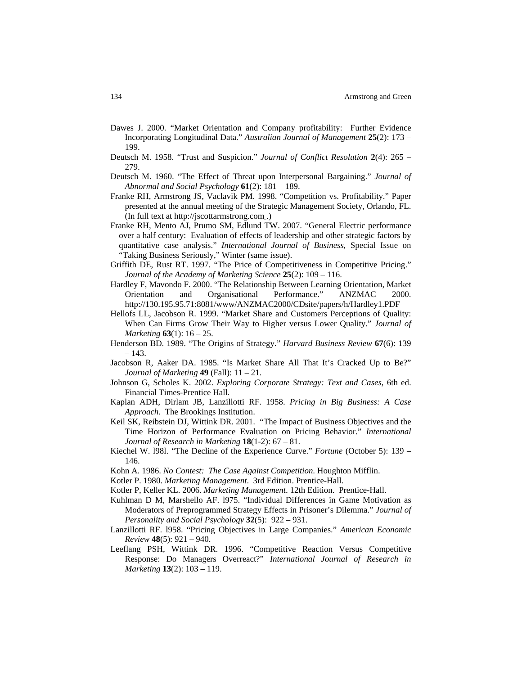- Dawes J. 2000. "Market Orientation and Company profitability: Further Evidence Incorporating Longitudinal Data." *Australian Journal of Management* **25**(2): 173 – 199.
- Deutsch M. 1958. "Trust and Suspicion." *Journal of Conflict Resolution* **2**(4): 265 279.
- Deutsch M. 1960. "The Effect of Threat upon Interpersonal Bargaining." *Journal of Abnormal and Social Psychology* **61**(2): 181 – 189.
- Franke RH, Armstrong JS, Vaclavik PM. 1998. "Competition vs. Profitability." Paper presented at the annual meeting of the Strategic Management Society, Orlando, FL. (In full text at [http://jscottarmstrong.com](http://jscottarmstrong.com/) .)
- Franke RH, Mento AJ, Prumo SM, Edlund TW. 2007. "General Electric performance over a half century: Evaluation of effects of leadership and other strategic factors by quantitative case analysis." *International Journal of Business*, Special Issue on "Taking Business Seriously," Winter (same issue).
- Griffith DE, Rust RT. 1997. "The Price of Competitiveness in Competitive Pricing." *Journal of the Academy of Marketing Science* **25**(2): 109 – 116.
- Hardley F, Mavondo F. 2000. "The Relationship Between Learning Orientation, Market Orientation and Organisational Performance." ANZMAC 2000. <http://130.195.95.71:8081/www/ANZMAC2000/CDsite/papers/h/Hardley1.PDF>
- Hellofs LL, Jacobson R. 1999. "Market Share and Customers Perceptions of Quality: When Can Firms Grow Their Way to Higher versus Lower Quality." *Journal of Marketing* **63**(1): 16 – 25.
- Henderson BD. 1989. "The Origins of Strategy." *Harvard Business Review* **67**(6): 139 – 143.
- Jacobson R, Aaker DA. 1985. "Is Market Share All That It's Cracked Up to Be?" *Journal of Marketing* **49** (Fall): 11 – 21.
- Johnson G, Scholes K. 2002. *Exploring Corporate Strategy: Text and Cases*, 6th ed. Financial Times-Prentice Hall.
- Kaplan ADH, Dirlam JB, Lanzillotti RF. 1958. *Pricing in Big Business: A Case Approach.* The Brookings Institution.
- Keil SK, Reibstein DJ, Wittink DR. 2001. "The Impact of Business Objectives and the Time Horizon of Performance Evaluation on Pricing Behavior." *International Journal of Research in Marketing* **18**(1-2): 67 – 81.
- Kiechel W. l98l. "The Decline of the Experience Curve." *Fortune* (October 5): 139 146.
- Kohn A. 1986. *No Contest: The Case Against Competition*. Houghton Mifflin.
- Kotler P. 1980. *Marketing Management*. 3rd Edition. Prentice-Hall.
- Kotler P, Keller KL. 2006. *Marketing Management*. 12th Edition. Prentice-Hall.
- Kuhlman D M, Marshello AF. l975. "Individual Differences in Game Motivation as Moderators of Preprogrammed Strategy Effects in Prisoner's Dilemma." *Journal of Personality and Social Psychology* **32**(5): 922 – 931.
- Lanzillotti RF. l958. "Pricing Objectives in Large Companies." *American Economic Review* **48**(5): 921 – 940.
- Leeflang PSH, Wittink DR. 1996. "Competitive Reaction Versus Competitive Response: Do Managers Overreact?" *International Journal of Research in Marketing* **13**(2): 103 – 119.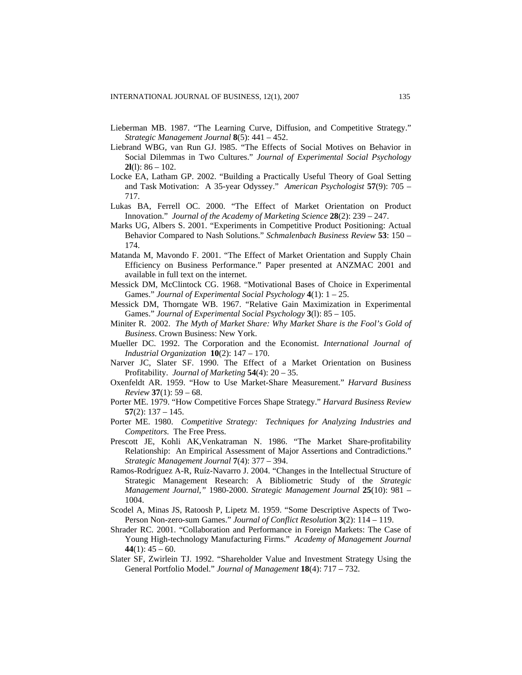- Lieberman MB. 1987. "The Learning Curve, Diffusion, and Competitive Strategy." *Strategic Management Journal* **8**(5): 441 – 452.
- Liebrand WBG, van Run GJ. l985. "The Effects of Social Motives on Behavior in Social Dilemmas in Two Cultures." *Journal of Experimental Social Psychology*  **2l**(l): 86 – 102.
- Locke EA, Latham GP. 2002. "Building a Practically Useful Theory of Goal Setting and Task Motivation: A 35-year Odyssey." *American Psychologist* **57**(9): 705 – 717.
- Lukas BA, Ferrell OC. 2000. "The Effect of Market Orientation on Product Innovation." *Journal of the Academy of Marketing Science* **28**(2): 239 – 247.
- Marks UG, Albers S. 2001. "Experiments in Competitive Product Positioning: Actual Behavior Compared to Nash Solutions." *Schmalenbach Business Review* **53**: 150 – 174.
- Matanda M, Mavondo F. 2001. "The Effect of Market Orientation and Supply Chain Efficiency on Business Performance." Paper presented at ANZMAC 2001 and available in full text on the internet.
- Messick DM, McClintock CG. 1968. "Motivational Bases of Choice in Experimental Games." *Journal of Experimental Social Psychology* **4**(1): 1 – 25.
- Messick DM, Thorngate WB. 1967. "Relative Gain Maximization in Experimental Games." *Journal of Experimental Social Psychology* **3**(l): 85 – 105.
- Miniter R. 2002. *The Myth of Market Share: Why Market Share is the Fool's Gold of Business*. Crown Business: New York.
- Mueller DC. 1992. The Corporation and the Economist. *International Journal of Industrial Organization* **10**(2): 147 – 170.
- Narver JC, Slater SF. 1990. The Effect of a Market Orientation on Business Profitability. *Journal of Marketing* **54**(4): 20 – 35.
- Oxenfeldt AR. 1959. "How to Use Market-Share Measurement." *Harvard Business Review* **37**(1): 59 – 68.
- Porter ME. 1979. "How Competitive Forces Shape Strategy." *Harvard Business Review* **57**(2): 137 – 145.
- Porter ME. 1980. *Competitive Strategy: Techniques for Analyzing Industries and Competitors.* The Free Press.
- Prescott JE, Kohli AK,Venkatraman N. 1986. "The Market Share-profitability Relationship: An Empirical Assessment of Major Assertions and Contradictions." *Strategic Management Journal* **7**(4): 377 – 394.
- Ramos-Rodríguez A-R, Ruíz-Navarro J. 2004. "Changes in the Intellectual Structure of Strategic Management Research: A Bibliometric Study of the *Strategic Management Journal,"* 1980-2000. *Strategic Management Journal* **25**(10): 981 – 1004.
- Scodel A, Minas JS, Ratoosh P, Lipetz M. 1959. "Some Descriptive Aspects of Two-Person Non-zero-sum Games." *Journal of Conflict Resolution* **3**(2): 114 – 119.
- Shrader RC. 2001. "Collaboration and Performance in Foreign Markets: The Case of Young High-technology Manufacturing Firms." *Academy of Management Journal*  $44(1)$ :  $45 - 60$ .
- Slater SF, Zwirlein TJ. 1992. "Shareholder Value and Investment Strategy Using the General Portfolio Model." *Journal of Management* **18**(4): 717 – 732.